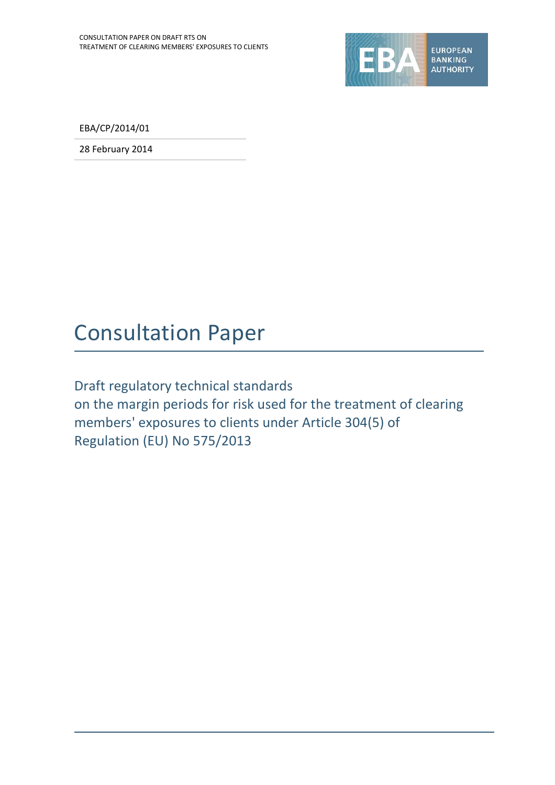

EBA/CP/2014/01

28 February 2014

## Consultation Paper

Draft regulatory technical standards on the margin periods for risk used for the treatment of clearing members' exposures to clients under Article 304(5) of Regulation (EU) No 575/2013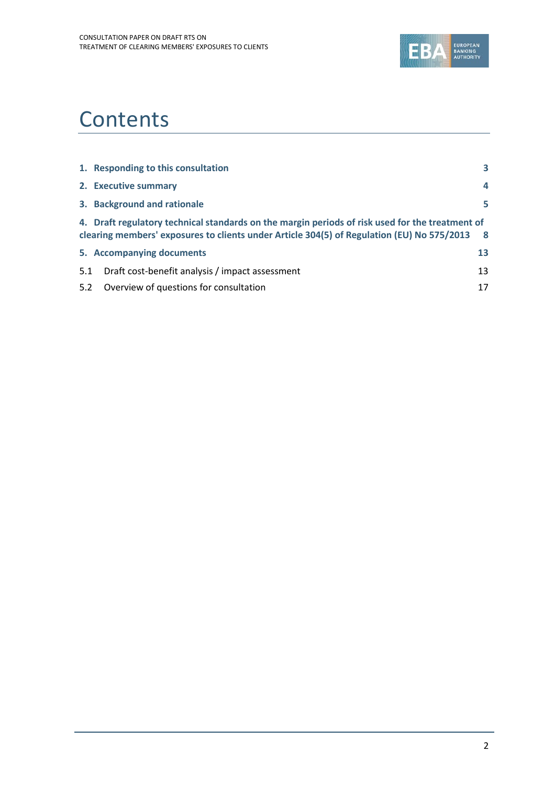

## **Contents**

|     | 1. Responding to this consultation                                                                                                                                                            | 3  |
|-----|-----------------------------------------------------------------------------------------------------------------------------------------------------------------------------------------------|----|
|     |                                                                                                                                                                                               |    |
|     | 2. Executive summary                                                                                                                                                                          | 4  |
|     | 3. Background and rationale                                                                                                                                                                   | 5. |
|     | 4. Draft regulatory technical standards on the margin periods of risk used for the treatment of<br>clearing members' exposures to clients under Article 304(5) of Regulation (EU) No 575/2013 | 8  |
|     | 5. Accompanying documents                                                                                                                                                                     | 13 |
| 5.1 | Draft cost-benefit analysis / impact assessment                                                                                                                                               | 13 |
| 5.2 | Overview of questions for consultation                                                                                                                                                        | 17 |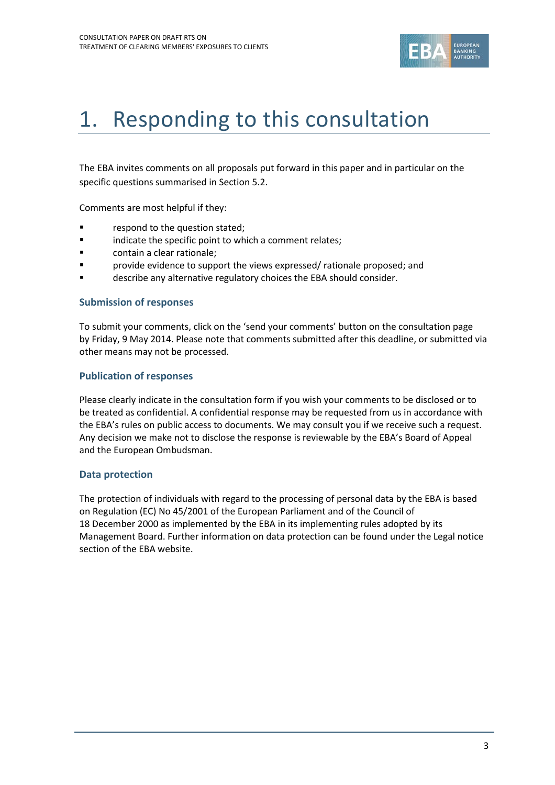

# 1. Responding to this consultation

The EBA invites comments on all proposals put forward in this paper and in particular on the specific questions summarised in Section 5.2.

Comments are most helpful if they:

- **Fallengia Exercise 1** respond to the question stated;
- **Example 3** indicate the specific point to which a comment relates;
- contain a clear rationale;
- provide evidence to support the views expressed/ rationale proposed; and
- describe any alternative regulatory choices the EBA should consider.

#### **Submission of responses**

To submit your comments, click on the 'send your comments' button on the consultation page by Friday, 9 May 2014. Please note that comments submitted after this deadline, or submitted via other means may not be processed.

#### **Publication of responses**

Please clearly indicate in the consultation form if you wish your comments to be disclosed or to be treated as confidential. A confidential response may be requested from us in accordance with the EBA's rules on public access to documents. We may consult you if we receive such a request. Any decision we make not to disclose the response is reviewable by the EBA's Board of Appeal and the European Ombudsman.

### **Data protection**

The protection of individuals with regard to the processing of personal data by the EBA is based on Regulation (EC) No 45/2001 of the European Parliament and of the Council of 18 December 2000 as implemented by the EBA in its implementing rules adopted by its Management Board. Further information on data protection can be found under the [Legal notice](http://eba.europa.eu/legal-notice)  [section](http://eba.europa.eu/legal-notice) of the EBA website.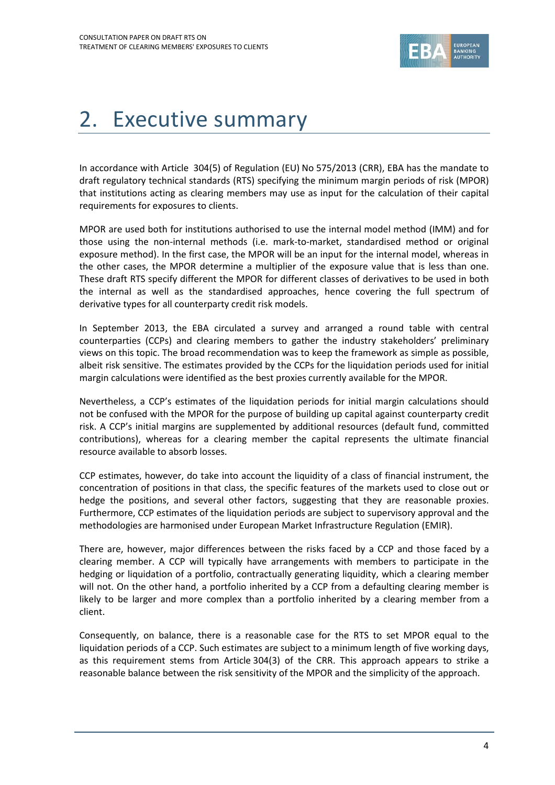

# 2. Executive summary

In accordance with Article 304(5) of Regulation (EU) No 575/2013 (CRR), EBA has the mandate to draft regulatory technical standards (RTS) specifying the minimum margin periods of risk (MPOR) that institutions acting as clearing members may use as input for the calculation of their capital requirements for exposures to clients.

MPOR are used both for institutions authorised to use the internal model method (IMM) and for those using the non-internal methods (i.e. mark-to-market, standardised method or original exposure method). In the first case, the MPOR will be an input for the internal model, whereas in the other cases, the MPOR determine a multiplier of the exposure value that is less than one. These draft RTS specify different the MPOR for different classes of derivatives to be used in both the internal as well as the standardised approaches, hence covering the full spectrum of derivative types for all counterparty credit risk models.

In September 2013, the EBA circulated a survey and arranged a round table with central counterparties (CCPs) and clearing members to gather the industry stakeholders' preliminary views on this topic. The broad recommendation was to keep the framework as simple as possible, albeit risk sensitive. The estimates provided by the CCPs for the liquidation periods used for initial margin calculations were identified as the best proxies currently available for the MPOR.

Nevertheless, a CCP's estimates of the liquidation periods for initial margin calculations should not be confused with the MPOR for the purpose of building up capital against counterparty credit risk. A CCP's initial margins are supplemented by additional resources (default fund, committed contributions), whereas for a clearing member the capital represents the ultimate financial resource available to absorb losses.

CCP estimates, however, do take into account the liquidity of a class of financial instrument, the concentration of positions in that class, the specific features of the markets used to close out or hedge the positions, and several other factors, suggesting that they are reasonable proxies. Furthermore, CCP estimates of the liquidation periods are subject to supervisory approval and the methodologies are harmonised under European Market Infrastructure Regulation (EMIR).

There are, however, major differences between the risks faced by a CCP and those faced by a clearing member. A CCP will typically have arrangements with members to participate in the hedging or liquidation of a portfolio, contractually generating liquidity, which a clearing member will not. On the other hand, a portfolio inherited by a CCP from a defaulting clearing member is likely to be larger and more complex than a portfolio inherited by a clearing member from a client.

Consequently, on balance, there is a reasonable case for the RTS to set MPOR equal to the liquidation periods of a CCP. Such estimates are subject to a minimum length of five working days, as this requirement stems from Article 304(3) of the CRR. This approach appears to strike a reasonable balance between the risk sensitivity of the MPOR and the simplicity of the approach.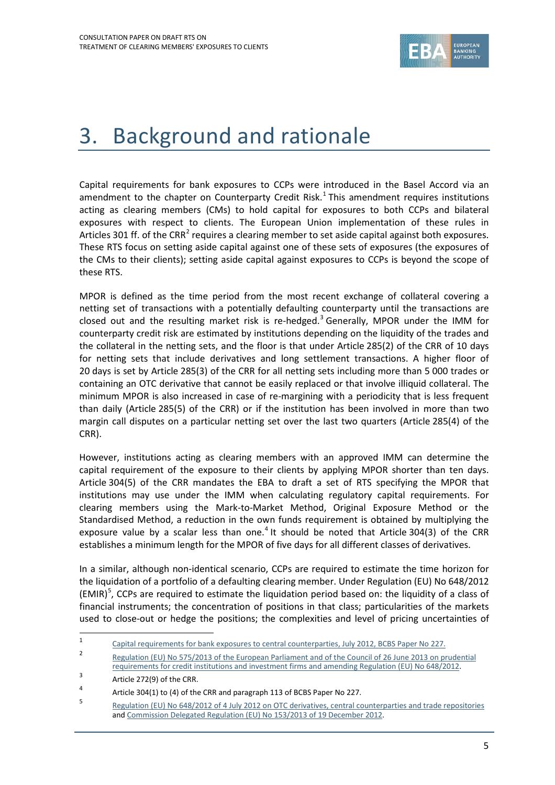

# 3. Background and rationale

Capital requirements for bank exposures to CCPs were introduced in the Basel Accord via an amendment to the chapter on Counterparty Credit Risk.<sup>[1](#page-4-0)</sup> This amendment requires institutions acting as clearing members (CMs) to hold capital for exposures to both CCPs and bilateral exposures with respect to clients. The European Union implementation of these rules in Articles 301 ff. of the CRR<sup>[2](#page-4-1)</sup> requires a clearing member to set aside capital against both exposures. These RTS focus on setting aside capital against one of these sets of exposures (the exposures of the CMs to their clients); setting aside capital against exposures to CCPs is beyond the scope of these RTS.

MPOR is defined as the time period from the most recent exchange of collateral covering a netting set of transactions with a potentially defaulting counterparty until the transactions are closed out and the resulting market risk is re-hedged.<sup>[3](#page-4-2)</sup> Generally, MPOR under the IMM for counterparty credit risk are estimated by institutions depending on the liquidity of the trades and the collateral in the netting sets, and the floor is that under Article 285(2) of the CRR of 10 days for netting sets that include derivatives and long settlement transactions. A higher floor of 20 days is set by Article 285(3) of the CRR for all netting sets including more than 5 000 trades or containing an OTC derivative that cannot be easily replaced or that involve illiquid collateral. The minimum MPOR is also increased in case of re-margining with a periodicity that is less frequent than daily (Article 285(5) of the CRR) or if the institution has been involved in more than two margin call disputes on a particular netting set over the last two quarters (Article 285(4) of the CRR).

However, institutions acting as clearing members with an approved IMM can determine the capital requirement of the exposure to their clients by applying MPOR shorter than ten days. Article 304(5) of the CRR mandates the EBA to draft a set of RTS specifying the MPOR that institutions may use under the IMM when calculating regulatory capital requirements. For clearing members using the Mark-to-Market Method, Original Exposure Method or the Standardised Method, a reduction in the own funds requirement is obtained by multiplying the exposure value by a scalar less than one.<sup>[4](#page-4-3)</sup> It should be noted that Article 304(3) of the CRR establishes a minimum length for the MPOR of five days for all different classes of derivatives.

In a similar, although non-identical scenario, CCPs are required to estimate the time horizon for the liquidation of a portfolio of a defaulting clearing member. Under Regulation (EU) No 648/2012  $(EMIR)^5$  $(EMIR)^5$ , CCPs are required to estimate the liquidation period based on: the liquidity of a class of financial instruments; the concentration of positions in that class; particularities of the markets used to close-out or hedge the positions; the complexities and level of pricing uncertainties of

 $\overline{a}$ 

<span id="page-4-0"></span><sup>1</sup> [Capital requirements for bank exposures to central counterparties,](http://www.bis.org/publ/bcbs227.htm) July 2012, BCBS Paper No 227.

<span id="page-4-1"></span><sup>2</sup> Regulation (EU) No 575/2013 of the European Parliament and of the Council of 26 June 2013 on prudential requirements for credit institutions and investment firms and amending Regulation (EU) No 648/2012.

<span id="page-4-2"></span> $3$  Article 272(9) of the CRR.

<span id="page-4-3"></span><sup>4</sup> Article 304(1) to (4) of the CRR and paragraph 113 of BCBS Paper No 227.

<span id="page-4-4"></span><sup>5</sup> Regulation (EU) No 648/2012 of 4 July [2012 on OTC derivatives, central counterparties and trade repositories](http://eur-lex.europa.eu/LexUriServ/LexUriServ.do?uri=OJ:L:2012:201:0001:0059:EN:PDF) an[d Commission Delegated Regulation](http://eur-lex.europa.eu/LexUriServ/LexUriServ.do?uri=OJ:L:2013:052:0041:0074:EN:PDF) (EU) No 153/2013 of 19 December 2012.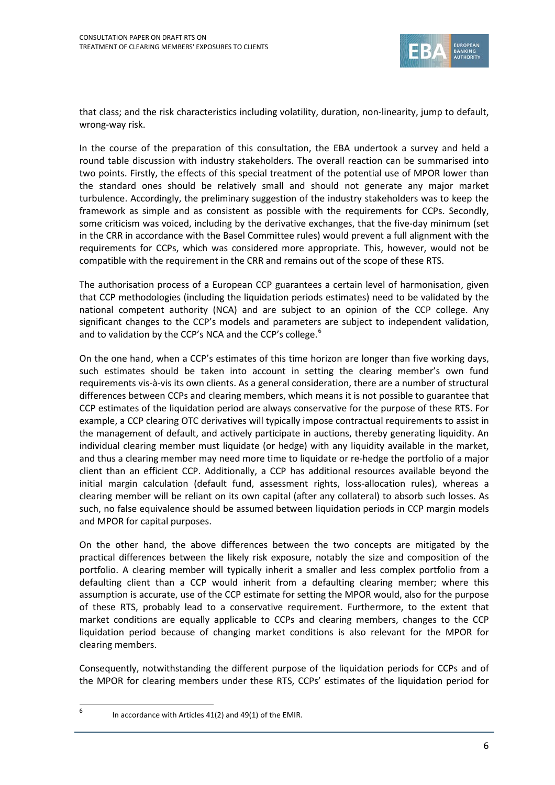

that class; and the risk characteristics including volatility, duration, non-linearity, jump to default, wrong-way risk.

In the course of the preparation of this consultation, the EBA undertook a survey and held a round table discussion with industry stakeholders. The overall reaction can be summarised into two points. Firstly, the effects of this special treatment of the potential use of MPOR lower than the standard ones should be relatively small and should not generate any major market turbulence. Accordingly, the preliminary suggestion of the industry stakeholders was to keep the framework as simple and as consistent as possible with the requirements for CCPs. Secondly, some criticism was voiced, including by the derivative exchanges, that the five-day minimum (set in the CRR in accordance with the Basel Committee rules) would prevent a full alignment with the requirements for CCPs, which was considered more appropriate. This, however, would not be compatible with the requirement in the CRR and remains out of the scope of these RTS.

The authorisation process of a European CCP guarantees a certain level of harmonisation, given that CCP methodologies (including the liquidation periods estimates) need to be validated by the national competent authority (NCA) and are subject to an opinion of the CCP college. Any significant changes to the CCP's models and parameters are subject to independent validation, and to validation by the CCP's NCA and the CCP's college. $6$ 

On the one hand, when a CCP's estimates of this time horizon are longer than five working days, such estimates should be taken into account in setting the clearing member's own fund requirements vis-à-vis its own clients. As a general consideration, there are a number of structural differences between CCPs and clearing members, which means it is not possible to guarantee that CCP estimates of the liquidation period are always conservative for the purpose of these RTS. For example, a CCP clearing OTC derivatives will typically impose contractual requirements to assist in the management of default, and actively participate in auctions, thereby generating liquidity. An individual clearing member must liquidate (or hedge) with any liquidity available in the market, and thus a clearing member may need more time to liquidate or re-hedge the portfolio of a major client than an efficient CCP. Additionally, a CCP has additional resources available beyond the initial margin calculation (default fund, assessment rights, loss-allocation rules), whereas a clearing member will be reliant on its own capital (after any collateral) to absorb such losses. As such, no false equivalence should be assumed between liquidation periods in CCP margin models and MPOR for capital purposes.

On the other hand, the above differences between the two concepts are mitigated by the practical differences between the likely risk exposure, notably the size and composition of the portfolio. A clearing member will typically inherit a smaller and less complex portfolio from a defaulting client than a CCP would inherit from a defaulting clearing member; where this assumption is accurate, use of the CCP estimate for setting the MPOR would, also for the purpose of these RTS, probably lead to a conservative requirement. Furthermore, to the extent that market conditions are equally applicable to CCPs and clearing members, changes to the CCP liquidation period because of changing market conditions is also relevant for the MPOR for clearing members.

Consequently, notwithstanding the different purpose of the liquidation periods for CCPs and of the MPOR for clearing members under these RTS, CCPs' estimates of the liquidation period for

<span id="page-5-0"></span> $6$  In accordance with Articles 41(2) and 49(1) of the EMIR.

 $\overline{a}$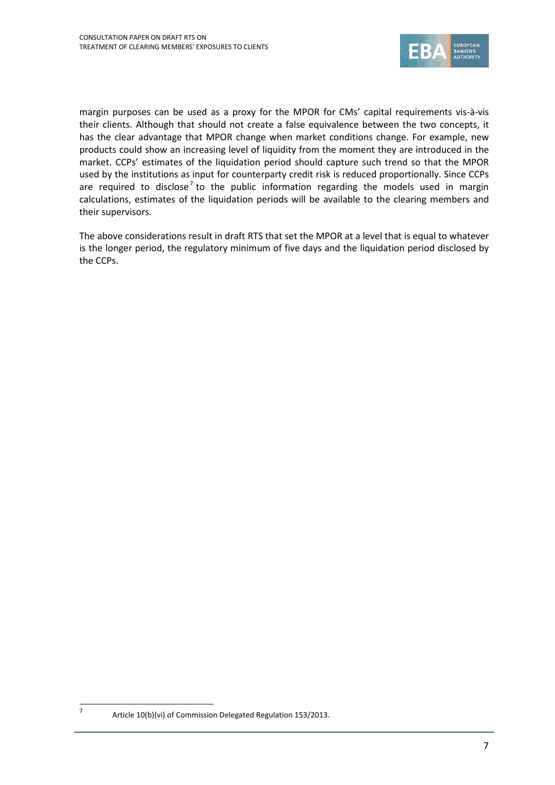

margin purposes can be used as a proxy for the MPOR for CMs' capital requirements vis-à-vis their clients. Although that should not create a false equivalence between the two concepts, it has the clear advantage that MPOR change when market conditions change. For example, new products could show an increasing level of liquidity from the moment they are introduced in the market. CCPs' estimates of the liquidation period should capture such trend so that the MPOR used by the institutions as input for counterparty credit risk is reduced proportionally. Since CCPs are required to disclose<sup>[7](#page-6-0)</sup> to the public information regarding the models used in margin calculations, estimates of the liquidation periods will be available to the clearing members and their supervisors.

The above considerations result in draft RTS that set the MPOR at a level that is equal to whatever is the longer period, the regulatory minimum of five days and the liquidation period disclosed by the CCPs.

<span id="page-6-0"></span> $\overline{a}$ 

<sup>7</sup> Article  $10(b)(vi)$  of Commission Delegated Regulation 153/2013.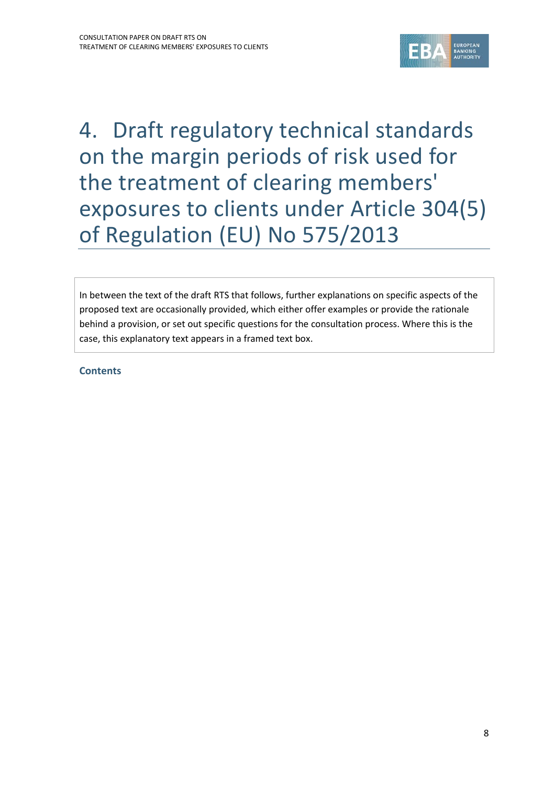

4. Draft regulatory technical standards on the margin periods of risk used for the treatment of clearing members' exposures to clients under Article 304(5) of Regulation (EU) No 575/2013

In between the text of the draft RTS that follows, further explanations on specific aspects of the proposed text are occasionally provided, which either offer examples or provide the rationale behind a provision, or set out specific questions for the consultation process. Where this is the case, this explanatory text appears in a framed text box.

**Contents**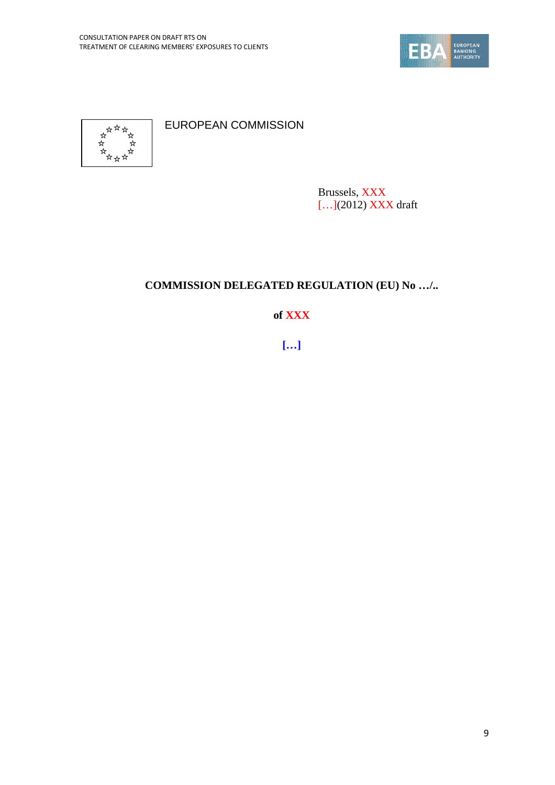



EUROPEAN COMMISSION

Brussels, XXX […](2012) XXX draft

## **COMMISSION DELEGATED REGULATION (EU) No …/..**

### **of XXX**

**[…]**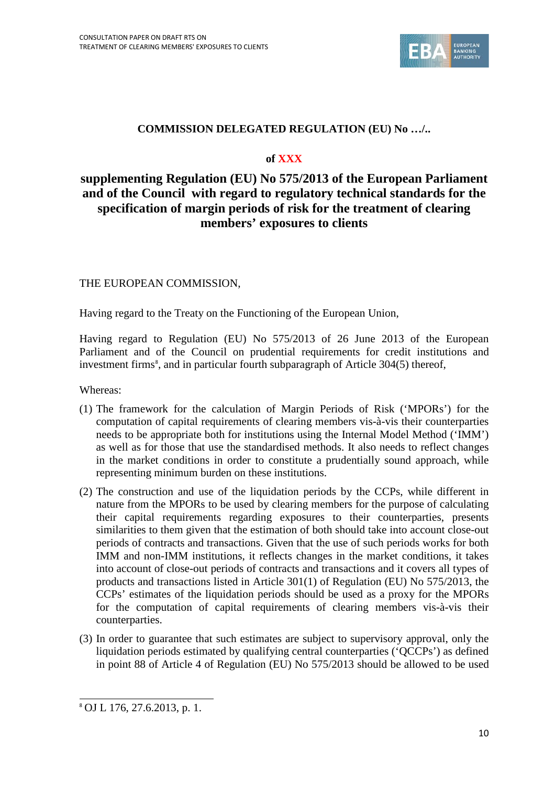

### **COMMISSION DELEGATED REGULATION (EU) No …/..**

### **of XXX**

### **supplementing Regulation (EU) No 575/2013 of the European Parliament and of the Council with regard to regulatory technical standards for the specification of margin periods of risk for the treatment of clearing members' exposures to clients**

### THE EUROPEAN COMMISSION,

Having regard to the Treaty on the Functioning of the European Union,

Having regard to Regulation (EU) No 575/2013 of 26 June 2013 of the European Parliament and of the Council on prudential requirements for credit institutions and investment firms<sup>[8](#page-9-0)</sup>, and in particular fourth subparagraph of Article 304(5) thereof,

Whereas:

- (1) The framework for the calculation of Margin Periods of Risk ('MPORs') for the computation of capital requirements of clearing members vis-à-vis their counterparties needs to be appropriate both for institutions using the Internal Model Method ('IMM') as well as for those that use the standardised methods. It also needs to reflect changes in the market conditions in order to constitute a prudentially sound approach, while representing minimum burden on these institutions.
- (2) The construction and use of the liquidation periods by the CCPs, while different in nature from the MPORs to be used by clearing members for the purpose of calculating their capital requirements regarding exposures to their counterparties, presents similarities to them given that the estimation of both should take into account close-out periods of contracts and transactions. Given that the use of such periods works for both IMM and non-IMM institutions, it reflects changes in the market conditions, it takes into account of close-out periods of contracts and transactions and it covers all types of products and transactions listed in Article 301(1) of Regulation (EU) No 575/2013, the CCPs' estimates of the liquidation periods should be used as a proxy for the MPORs for the computation of capital requirements of clearing members vis-à-vis their counterparties.
- (3) In order to guarantee that such estimates are subject to supervisory approval, only the liquidation periods estimated by qualifying central counterparties ('QCCPs') as defined in point 88 of Article 4 of Regulation (EU) No 575/2013 should be allowed to be used

<span id="page-9-0"></span><sup>8</sup> OJ L 176, 27.6.2013, p. 1.  $\overline{a}$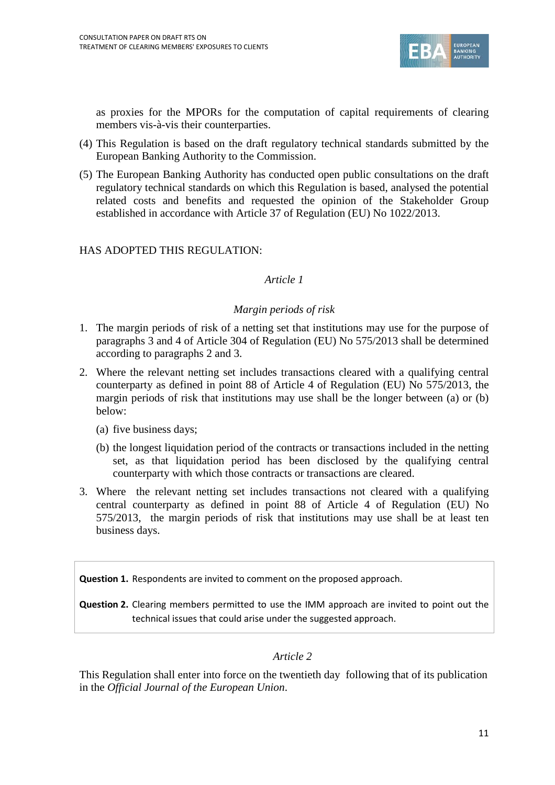

as proxies for the MPORs for the computation of capital requirements of clearing members vis-à-vis their counterparties.

- (4) This Regulation is based on the draft regulatory technical standards submitted by the European Banking Authority to the Commission.
- (5) The European Banking Authority has conducted open public consultations on the draft regulatory technical standards on which this Regulation is based, analysed the potential related costs and benefits and requested the opinion of the Stakeholder Group established in accordance with Article 37 of Regulation (EU) No 1022/2013.

### HAS ADOPTED THIS REGULATION:

### *Article 1*

### *Margin periods of risk*

- 1. The margin periods of risk of a netting set that institutions may use for the purpose of paragraphs 3 and 4 of Article 304 of Regulation (EU) No 575/2013 shall be determined according to paragraphs 2 and 3.
- 2. Where the relevant netting set includes transactions cleared with a qualifying central counterparty as defined in point 88 of Article 4 of Regulation (EU) No 575/2013, the margin periods of risk that institutions may use shall be the longer between (a) or (b) below:
	- (a) five business days;
	- (b) the longest liquidation period of the contracts or transactions included in the netting set, as that liquidation period has been disclosed by the qualifying central counterparty with which those contracts or transactions are cleared.
- 3. Where the relevant netting set includes transactions not cleared with a qualifying central counterparty as defined in point 88 of Article 4 of Regulation (EU) No 575/2013, the margin periods of risk that institutions may use shall be at least ten business days.

**Question 1.** Respondents are invited to comment on the proposed approach.

**Question 2.** Clearing members permitted to use the IMM approach are invited to point out the technical issues that could arise under the suggested approach.

### *Article 2*

This Regulation shall enter into force on the twentieth day following that of its publication in the *Official Journal of the European Union*.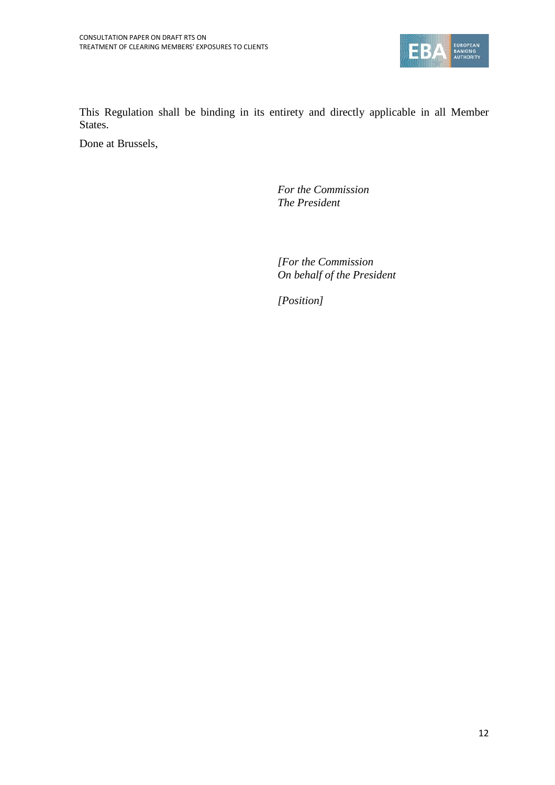

This Regulation shall be binding in its entirety and directly applicable in all Member States.

Done at Brussels,

*For the Commission The President*

*[For the Commission On behalf of the President*

*[Position]*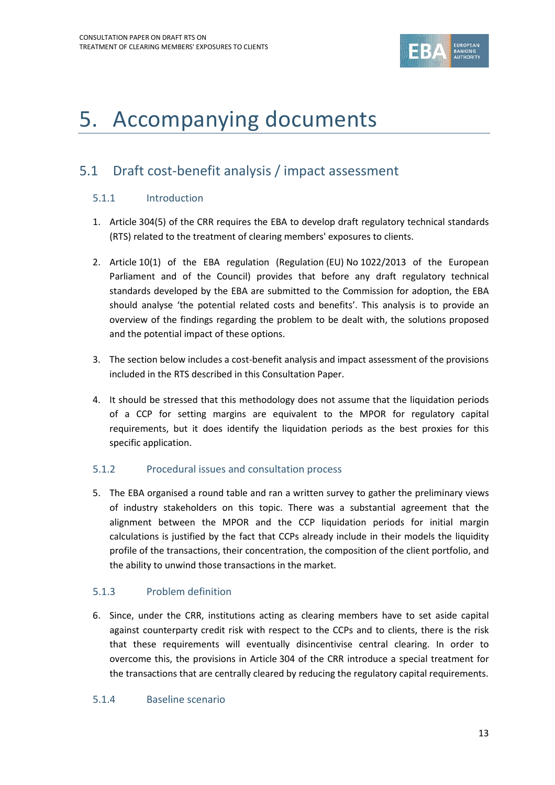

## 5. Accompanying documents

### 5.1 Draft cost-benefit analysis / impact assessment

### 5.1.1 Introduction

- 1. Article 304(5) of the CRR requires the EBA to develop draft regulatory technical standards (RTS) related to the treatment of clearing members' exposures to clients.
- 2. Article 10(1) of the EBA regulation (Regulation (EU) No 1022/2013 of the European Parliament and of the Council) provides that before any draft regulatory technical standards developed by the EBA are submitted to the Commission for adoption, the EBA should analyse 'the potential related costs and benefits'. This analysis is to provide an overview of the findings regarding the problem to be dealt with, the solutions proposed and the potential impact of these options.
- 3. The section below includes a cost-benefit analysis and impact assessment of the provisions included in the RTS described in this Consultation Paper.
- 4. It should be stressed that this methodology does not assume that the liquidation periods of a CCP for setting margins are equivalent to the MPOR for regulatory capital requirements, but it does identify the liquidation periods as the best proxies for this specific application.

### 5.1.2 Procedural issues and consultation process

5. The EBA organised a round table and ran a written survey to gather the preliminary views of industry stakeholders on this topic. There was a substantial agreement that the alignment between the MPOR and the CCP liquidation periods for initial margin calculations is justified by the fact that CCPs already include in their models the liquidity profile of the transactions, their concentration, the composition of the client portfolio, and the ability to unwind those transactions in the market.

### <span id="page-12-0"></span>5.1.3 Problem definition

6. Since, under the CRR, institutions acting as clearing members have to set aside capital against counterparty credit risk with respect to the CCPs and to clients, there is the risk that these requirements will eventually disincentivise central clearing. In order to overcome this, the provisions in Article 304 of the CRR introduce a special treatment for the transactions that are centrally cleared by reducing the regulatory capital requirements.

### 5.1.4 Baseline scenario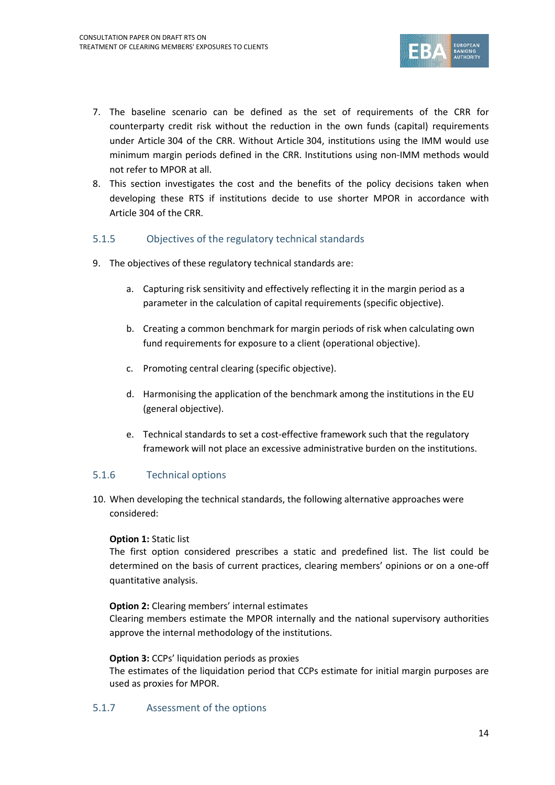

- 7. The baseline scenario can be defined as the set of requirements of the CRR for counterparty credit risk without the reduction in the own funds (capital) requirements under Article 304 of the CRR. Without Article 304, institutions using the IMM would use minimum margin periods defined in the CRR. Institutions using non-IMM methods would not refer to MPOR at all.
- 8. This section investigates the cost and the benefits of the policy decisions taken when developing these RTS if institutions decide to use shorter MPOR in accordance with Article 304 of the CRR.

### 5.1.5 Objectives of the regulatory technical standards

- 9. The objectives of these regulatory technical standards are:
	- a. Capturing risk sensitivity and effectively reflecting it in the margin period as a parameter in the calculation of capital requirements (specific objective).
	- b. Creating a common benchmark for margin periods of risk when calculating own fund requirements for exposure to a client (operational objective).
	- c. Promoting central clearing (specific objective).
	- d. Harmonising the application of the benchmark among the institutions in the EU (general objective).
	- e. Technical standards to set a cost-effective framework such that the regulatory framework will not place an excessive administrative burden on the institutions.

### 5.1.6 Technical options

10. When developing the technical standards, the following alternative approaches were considered:

### **Option 1:** Static list

The first option considered prescribes a static and predefined list. The list could be determined on the basis of current practices, clearing members' opinions or on a one-off quantitative analysis.

### **Option 2:** Clearing members' internal estimates

Clearing members estimate the MPOR internally and the national supervisory authorities approve the internal methodology of the institutions.

### **Option 3:** CCPs' liquidation periods as proxies

The estimates of the liquidation period that CCPs estimate for initial margin purposes are used as proxies for MPOR.

### 5.1.7 Assessment of the options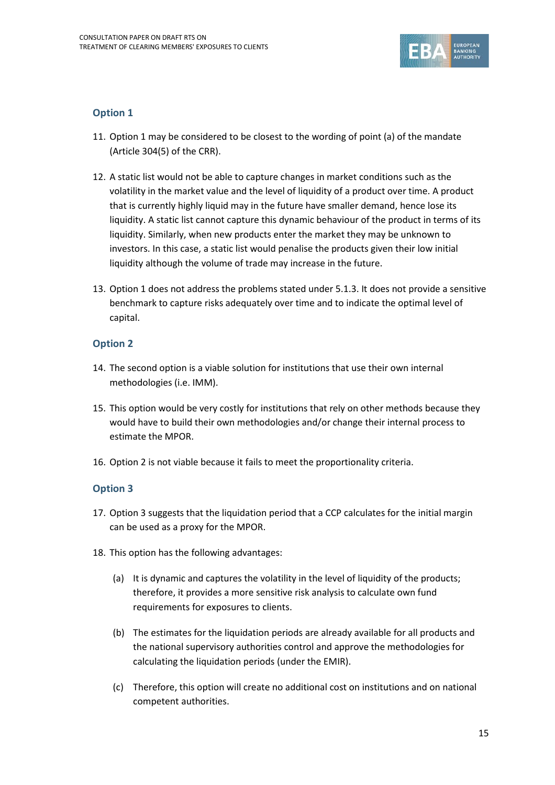

### **Option 1**

- 11. Option 1 may be considered to be closest to the wording of point (a) of the mandate (Article 304(5) of the CRR).
- 12. A static list would not be able to capture changes in market conditions such as the volatility in the market value and the level of liquidity of a product over time. A product that is currently highly liquid may in the future have smaller demand, hence lose its liquidity. A static list cannot capture this dynamic behaviour of the product in terms of its liquidity. Similarly, when new products enter the market they may be unknown to investors. In this case, a static list would penalise the products given their low initial liquidity although the volume of trade may increase in the future.
- 13. Option 1 does not address the problems stated unde[r 5.1.3.](#page-12-0) It does not provide a sensitive benchmark to capture risks adequately over time and to indicate the optimal level of capital.

### **Option 2**

- 14. The second option is a viable solution for institutions that use their own internal methodologies (i.e. IMM).
- 15. This option would be very costly for institutions that rely on other methods because they would have to build their own methodologies and/or change their internal process to estimate the MPOR.
- 16. Option 2 is not viable because it fails to meet the proportionality criteria.

### **Option 3**

- 17. Option 3 suggests that the liquidation period that a CCP calculates for the initial margin can be used as a proxy for the MPOR.
- 18. This option has the following advantages:
	- (a) It is dynamic and captures the volatility in the level of liquidity of the products; therefore, it provides a more sensitive risk analysis to calculate own fund requirements for exposures to clients.
	- (b) The estimates for the liquidation periods are already available for all products and the national supervisory authorities control and approve the methodologies for calculating the liquidation periods (under the EMIR).
	- (c) Therefore, this option will create no additional cost on institutions and on national competent authorities.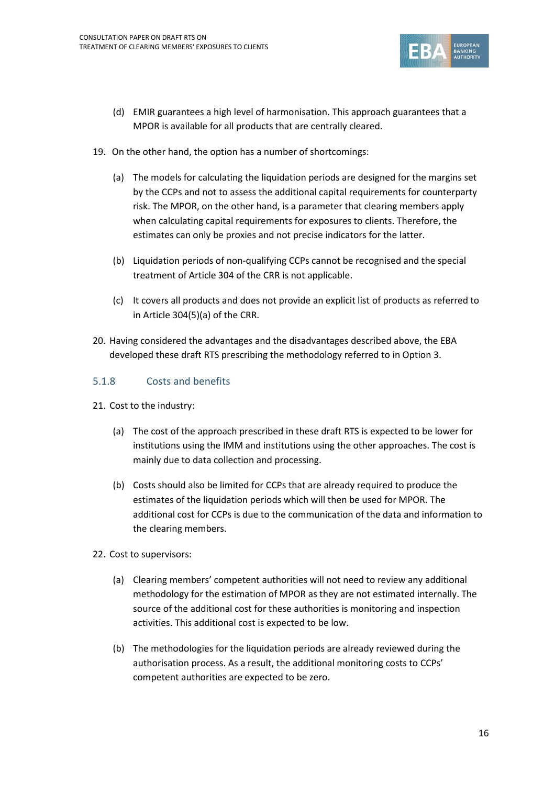

- (d) EMIR guarantees a high level of harmonisation. This approach guarantees that a MPOR is available for all products that are centrally cleared.
- 19. On the other hand, the option has a number of shortcomings:
	- (a) The models for calculating the liquidation periods are designed for the margins set by the CCPs and not to assess the additional capital requirements for counterparty risk. The MPOR, on the other hand, is a parameter that clearing members apply when calculating capital requirements for exposures to clients. Therefore, the estimates can only be proxies and not precise indicators for the latter.
	- (b) Liquidation periods of non-qualifying CCPs cannot be recognised and the special treatment of Article 304 of the CRR is not applicable.
	- (c) It covers all products and does not provide an explicit list of products as referred to in Article 304(5)(a) of the CRR.
- 20. Having considered the advantages and the disadvantages described above, the EBA developed these draft RTS prescribing the methodology referred to in Option 3.

### 5.1.8 Costs and benefits

- 21. Cost to the industry:
	- (a) The cost of the approach prescribed in these draft RTS is expected to be lower for institutions using the IMM and institutions using the other approaches. The cost is mainly due to data collection and processing.
	- (b) Costs should also be limited for CCPs that are already required to produce the estimates of the liquidation periods which will then be used for MPOR. The additional cost for CCPs is due to the communication of the data and information to the clearing members.
- 22. Cost to supervisors:
	- (a) Clearing members' competent authorities will not need to review any additional methodology for the estimation of MPOR as they are not estimated internally. The source of the additional cost for these authorities is monitoring and inspection activities. This additional cost is expected to be low.
	- (b) The methodologies for the liquidation periods are already reviewed during the authorisation process. As a result, the additional monitoring costs to CCPs' competent authorities are expected to be zero.